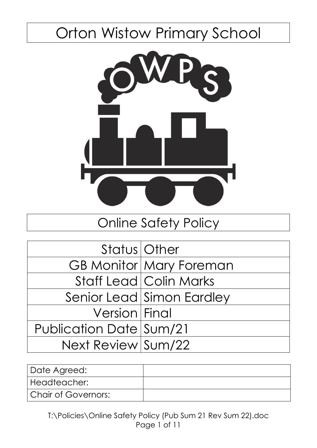# Orton Wistow Primary School



# Online Safety Policy

| Status   Other          |                                |
|-------------------------|--------------------------------|
|                         | <b>GB Monitor Mary Foreman</b> |
|                         | <b>Staff Lead Colin Marks</b>  |
|                         | Senior Lead Simon Eardley      |
| Version Final           |                                |
| Publication Date Sum/21 |                                |
| Next Review Sum/22      |                                |

| Date Agreed:        |  |
|---------------------|--|
| Headteacher:        |  |
| Chair of Governors: |  |

T:\Policies\Online Safety Policy (Pub Sum 21 Rev Sum 22).doc Page 1 of 11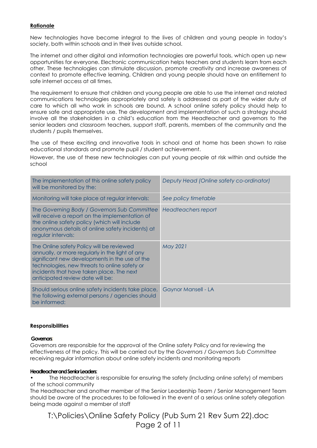#### **Rationale**

New technologies have become integral to the lives of children and young people in today's society, both within schools and in their lives outside school.

The internet and other digital and information technologies are powerful tools, which open up new opportunities for everyone. Electronic communication helps teachers and *students* learn from each other. These technologies can stimulate discussion, promote creativity and increase awareness of context to promote effective learning. Children and young people should have an entitlement to safe internet access at all times.

The requirement to ensure that children and young people are able to use the internet and related communications technologies appropriately and safely is addressed as part of the wider duty of care to which all who work in schools are bound. A school online safety policy should help to ensure safe and appropriate use. The development and implementation of such a strategy should involve all the stakeholders in a child's education from the Headteacher and governors to the senior leaders and classroom teachers, support staff, parents, members of the community and the students / pupils themselves.

The use of these exciting and innovative tools in school and at home has been shown to raise educational standards and promote pupil / student achievement.

However, the use of these new technologies can put young people at risk within and outside the school

| The implementation of this online safety policy<br>will be monitored by the:                                                                                                                                                                                                     | Deputy Head (Online safety co-ordinator) |
|----------------------------------------------------------------------------------------------------------------------------------------------------------------------------------------------------------------------------------------------------------------------------------|------------------------------------------|
| Monitoring will take place at regular intervals:                                                                                                                                                                                                                                 | See policy timetable                     |
| The Governing Body / Governors Sub Committee<br>will receive a report on the implementation of<br>the online safety policy (which will include<br>anonymous details of online safety incidents) at<br>regular intervals:                                                         | Headteachers report                      |
| The Online safety Policy will be reviewed<br>annually, or more regularly in the light of any<br>significant new developments in the use of the<br>technologies, new threats to online safety or<br>incidents that have taken place. The next<br>anticipated review date will be: | May 2021                                 |
| Should serious online safety incidents take place,<br>the following external persons / agencies should<br>be informed:                                                                                                                                                           | Gaynor Mansell - LA                      |

#### **Responsibilities**

#### **Governors**:

Governors are responsible for the approval of the Online safety Policy and for reviewing the effectiveness of the policy. This will be carried out by the *Governors / Governors Sub Committee* receiving regular information about online safety incidents and monitoring reports

#### **Headteacher and Senior Leaders**:

• The Headteacher is responsible for ensuring the safety (including online safety) of members of the school community

The Headteacher and another member of the Senior Leadership Team / Senior Management Team should be aware of the procedures to be followed in the event of a serious online safety allegation being made against a member of staff

T:\Policies\Online Safety Policy (Pub Sum 21 Rev Sum 22).doc Page 2 of 11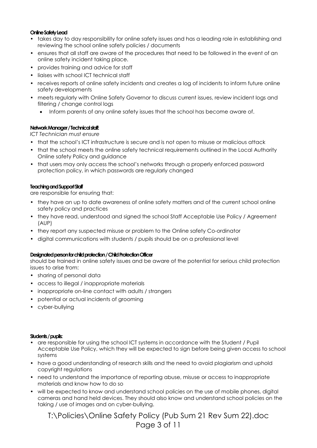#### **Online Safety Lead**

- takes day to day responsibility for online safety issues and has a leading role in establishing and reviewing the school online safety policies / documents
- ensures that all staff are aware of the procedures that need to be followed in the event of an online safety incident taking place.
- provides training and advice for staff
- liaises with school ICT technical staff
- receives reports of online safety incidents and creates a log of incidents to inform future online safety developments
- meets regularly with Online Safety Governor to discuss current issues, review incident logs and filtering / change control logs
	- Inform parents of any online safety issues that the school has become aware of.

#### **Network Manager / Technical staff:**

*ICT Technician must ensure* 

- **•** that the school's ICT infrastructure is secure and is not open to misuse or malicious attack
- that the school meets the online safety technical requirements outlined in the Local Authority Online safety Policy and guidance
- that users may only access the school's networks through a properly enforced password protection policy, in which passwords are regularly changed

#### **Teaching and Support Staff**

are responsible for ensuring that:

- they have an up to date awareness of online safety matters and of the current school online safety policy and practices
- they have read, understood and signed the school Staff Acceptable Use Policy / Agreement (AUP)
- they report any suspected misuse or problem to the Online safety Co-ordinator
- digital communications with students / pupils should be on a professional level

#### **Designated person for child protection / Child Protection Officer**

should be trained in online safety issues and be aware of the potential for serious child protection issues to arise from:

- sharing of personal data
- access to illegal / inappropriate materials
- inappropriate on-line contact with adults / strangers
- potential or actual incidents of grooming
- cyber-bullying

#### **Students / pupils:**

- **•** are responsible for using the school ICT systems in accordance with the Student / Pupil Acceptable Use Policy, which they will be expected to sign before being given access to school systems
- have a good understanding of research skills and the need to avoid plagiarism and uphold copyright regulations
- need to understand the importance of reporting abuse, misuse or access to inappropriate materials and know how to do so
- will be expected to know and understand school policies on the use of mobile phones, digital cameras and hand held devices. They should also know and understand school policies on the taking / use of images and on cyber-bullying.

T:\Policies\Online Safety Policy (Pub Sum 21 Rev Sum 22).doc Page 3 of 11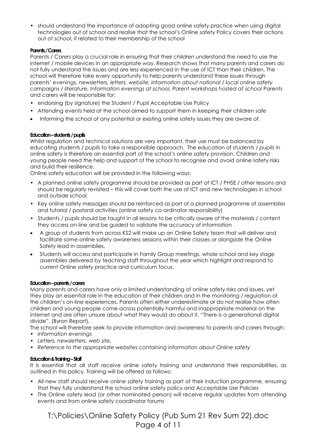• should understand the importance of adopting good online safety practice when using digital technologies out of school and realise that the school's Online safety Policy covers their actions out of school, if related to their membership of the school

#### **Parents / Carers**

Parents / Carers play a crucial role in ensuring that their children understand the need to use the internet / mobile devices in an appropriate way. Research shows that many parents and carers do not fully understand the issues and are less experienced in the use of ICT than their children. The school will therefore take every opportunity to help parents understand these issues through *parents' evenings, newsletters, letters, website, information about national / local online safety campaigns / literature, Information evenings at school, Parent workshops hosted at school* Parents and carers will be responsible for:

- **•** endorsing (by signature) the Student / Pupil Acceptable Use Policy
- Attending events held at the school aimed to support them in keeping their children safe
- Informing the school of any potential or existing online safety issues they are aware of.

#### **Education –students / pupils**

Whilst regulation and technical solutions are very important, their use must be balanced by educating *students / pupils* to take a responsible approach. The education of *students / pupils* in online safety is therefore an essential part of the school's online safety provision. Children and young people need the help and support of the school to recognise and avoid online safety risks and build their resilience.

Online safety education will be provided in the following ways:

- A planned online safety programme should be provided as part of ICT / PHSE / other lessons and should be regularly revisited – this will cover both the use of ICT and new technologies in school and outside school
- Key online safety messages should be reinforced as part of a planned programme of assemblies and tutorial / pastoral activities (online safety co-ordinator responsibility)
- Students / pupils should be taught in all lessons to be critically aware of the materials / content they access on-line and be guided to validate the accuracy of information
- A group of students from across KS2 will make up an Online Safety team that will deliver and facilitate some online safety awareness sessions within their classes or alongside the Online Safety lead in assemblies.
- Students will access and participate in Family Group meetings, whole school and key stage assemblies delivered by teaching staff throughout the year which highlight and respond to current Online safety practice and curriculum focus.

#### **Education –parents / carers**

Many parents and carers have only a limited understanding of online safety risks and issues, yet they play an essential role in the education of their children and in the monitoring / regulation of the children's on-line experiences. Parents often either underestimate or do not realise how often children and young people come across potentially harmful and inappropriate material on the internet and are often unsure about what they would do about it. "There is a generational digital divide". (Byron Report).

The school will therefore seek to provide information and awareness to parents and carers through:

- *Information evenings*
- *• Letters, newsletters, web site,*
- *• Reference to the appropriate websites containing information about Online safety*

#### **Education & Training –Staff**

It is essential that all staff receive online safety training and understand their responsibilities, as outlined in this policy. Training will be offered as follows:

- All new staff should receive online safety training as part of their induction programme, ensuring that they fully understand the school online safety policy and Acceptable Use Policies
- *•* The Online safety lead (or other nominated person) will receive regular updates from attending events and from online safety coordinator forums

T:\Policies\Online Safety Policy (Pub Sum 21 Rev Sum 22).doc Page 4 of 11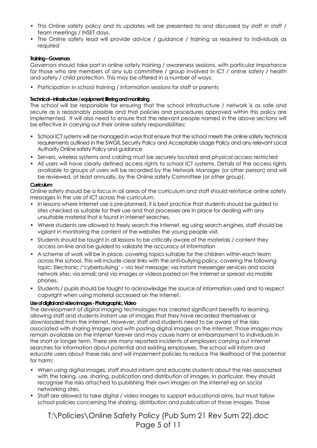- This Online safety policy and its updates will be presented to and discussed by staff in staff / team meetings / INSET days.
- The Online safety lead will provide advice / guidance / training as required to individuals as required

#### **Training –Governors**

Governors should take part in online safety training / awareness sessions, with particular importance for those who are members of any sub committee / group involved in ICT / online safety / health and safety / child protection. This may be offered in a number of ways:

• Participation in school training / information sessions for staff or parents

#### **Technical –infrastructure / equipment, filtering and monitoring**

The school will be responsible for ensuring that the school infrastructure / network is as safe and secure as is reasonably possible and that policies and procedures approved within this policy are implemented. It will also need to ensure that the relevant people named in the above sections will be effective in carrying out their online safety responsibilities:

- School ICT systems will be managed in ways that ensure that the school meets the online safety technical requirements outlined in the SWGfL Security Policy and Acceptable Usage Policy and any relevant Local Authority Online safety Policy and guidance
- Servers, wireless systems and cabling must be securely located and physical access restricted
- All users will have clearly defined access rights to school ICT systems. Details of the access rights available to groups of users will be recorded by the Network Manager (or other person) and will be reviewed, at least annually, by the Online safety Committee (or other group).

#### **Curriculum**

Online safety should be a focus in all areas of the curriculum and staff should reinforce online safety messages in the use of ICT across the curriculum.

- in lessons where internet use is pre-planned, it is best practice that students should be guided to sites checked as suitable for their use and that processes are in place for dealing with any unsuitable material that is found in internet searches.
- Where students are allowed to freely search the internet, eg using search engines, staff should be vigilant in monitoring the content of the websites the young people visit.
- Students should be taught in all lessons to be critically aware of the materials / content they access on-line and be guided to validate the accuracy of information
- A scheme of work will be in place, covering topics suitable for the children within each team across the school. This will include clear links with the anti-bullying policy, covering the following topic: Electronic /'cyberbullying' – via text message; via instant messenger services and social network sites; via email; and via images or videos posted on the internet or spread via mobile phones.
- Students / pupils should be taught to acknowledge the source of information used and to respect copyright when using material accessed on the internet.

#### **Use of digital and video images -Photographic, Video**

The development of digital imaging technologies has created significant benefits to learning, allowing staff and students instant use of images that they have recorded themselves or downloaded from the internet. However, staff and students need to be aware of the risks associated with sharing images and with posting digital images on the internet. Those images may remain available on the internet forever and may cause harm or embarrassment to individuals in the short or longer term. There are many reported incidents of employers carrying out internet searches for information about potential and existing employees. The school will inform and educate users about these risks and will implement policies to reduce the likelihood of the potential for harm:

- **•** When using digital images, staff should inform and educate students about the risks associated with the taking, use, sharing, publication and distribution of images. In particular, they should recognise the risks attached to publishing their own images on the internet eg on social networking sites.
- Staff are allowed to take digital / video images to support educational aims, but must follow school policies concerning the sharing, distribution and publication of those images. Those

### T:\Policies\Online Safety Policy (Pub Sum 21 Rev Sum 22).doc Page 5 of 11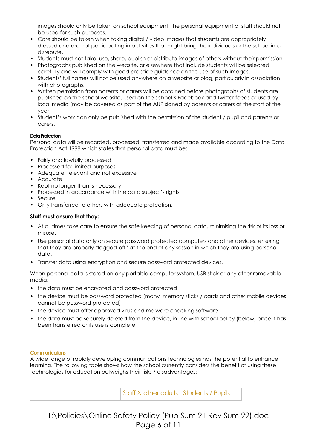images should only be taken on school equipment; the personal equipment of staff should not be used for such purposes.

- Care should be taken when taking digital / video images that students are appropriately dressed and are not participating in activities that might bring the individuals or the school into disrepute.
- Students must not take, use, share, publish or distribute images of others without their permission
- Photographs published on the website, or elsewhere that include students will be selected carefully and will comply with good practice guidance on the use of such images.
- Students' full names will not be used anywhere on a website or blog, particularly in association with photographs.
- Written permission from parents or carers will be obtained before photographs of students are published on the school website, used on the school's Facebook and Twitter feeds or used by local media (may be covered as part of the AUP signed by parents or carers at the start of the year)
- Student's work can only be published with the permission of the student / pupil and parents or carers.

#### **Data Protection**

Personal data will be recorded, processed, transferred and made available according to the Data Protection Act 1998 which states that personal data must be:

- Fairly and lawfully processed
- Processed for limited purposes
- Adequate, relevant and not excessive
- Accurate
- Kept no longer than is necessary
- Processed in accordance with the data subject's rights
- Secure
- Only transferred to others with adequate protection.

#### **Staff must ensure that they:**

- At all times take care to ensure the safe keeping of personal data, minimising the risk of its loss or misuse.
- Use personal data only on secure password protected computers and other devices, ensuring that they are properly "logged-off" at the end of any session in which they are using personal data.
- Transfer data using encryption and secure password protected devices.

When personal data is stored on any portable computer system, USB stick or any other removable media:

- **•** the data must be encrypted and password protected
- **•** the device must be password protected (many memory sticks / cards and other mobile devices cannot be password protected)
- **•** the device must offer approved virus and malware checking software
- **•** the data must be securely deleted from the device, in line with school policy (below) once it has been transferred or its use is complete

#### **Communications**

A wide range of rapidly developing communications technologies has the potential to enhance learning. The following table shows how the school currently considers the benefit of using these technologies for education outweighs their risks / disadvantages:

Staff & other adults | Students / Pupils

T:\Policies\Online Safety Policy (Pub Sum 21 Rev Sum 22).doc Page 6 of 11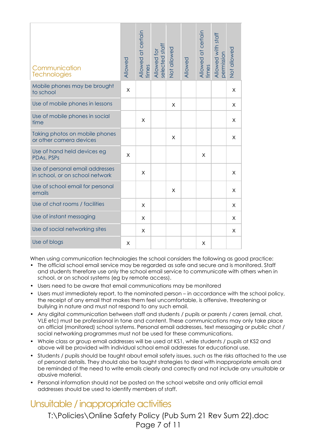| Communication<br><b>Technologies</b>                               | Allowed | Allowed at certain<br>times | Allowed for<br>selected staff | Not allowed | Allowed | Allowed at certain<br>times | Allowed with staff<br>permission | Not allowed |
|--------------------------------------------------------------------|---------|-----------------------------|-------------------------------|-------------|---------|-----------------------------|----------------------------------|-------------|
| Mobile phones may be brought<br>to school                          | X       |                             |                               |             |         |                             |                                  | X           |
| Use of mobile phones in lessons                                    |         |                             |                               | X           |         |                             |                                  | X           |
| Use of mobile phones in social<br>time                             |         | X                           |                               |             |         |                             |                                  | X           |
| Taking photos on mobile phones<br>or other camera devices          |         |                             |                               | X           |         |                             |                                  | X           |
| Use of hand held devices eg<br>PDAs, PSPs                          | X       |                             |                               |             |         | X                           |                                  |             |
| Use of personal email addresses<br>in school, or on school network |         | X                           |                               |             |         |                             |                                  | X           |
| Use of school email for personal<br>emails                         |         |                             |                               | X           |         |                             |                                  | X           |
| Use of chat rooms / facilities                                     |         | X                           |                               |             |         |                             |                                  | X           |
| Use of instant messaging                                           |         | X                           |                               |             |         |                             |                                  | X           |
| Use of social networking sites                                     |         | X                           |                               |             |         |                             |                                  | X           |
| Use of blogs                                                       | X       |                             |                               |             |         | X                           |                                  |             |

When using communication technologies the school considers the following as good practice:

- The official school email service may be regarded as safe and secure and is monitored. Staff and students therefore use only the school email service to communicate with others when in school, or on school systems (eg by remote access).
- Users need to be aware that email communications may be monitored
- Users must immediately report, to the nominated person in accordance with the school policy, the receipt of any email that makes them feel uncomfortable, is offensive, threatening or bullying in nature and must not respond to any such email.
- Any digital communication between staff and students / pupils or parents / carers (email, chat, VLE etc) must be professional in tone and content. These communications may only take place on official (monitored) school systems. Personal email addresses, text messaging or public chat / social networking programmes must not be used for these communications.
- Whole class or group email addresses will be used at KS1, while students / pupils at KS2 and above will be provided with individual school email addresses for educational use.
- Students / pupils should be taught about email safety issues, such as the risks attached to the use of personal details. They should also be taught strategies to deal with inappropriate emails and be reminded of the need to write emails clearly and correctly and not include any unsuitable or abusive material.
- Personal information should not be posted on the school website and only official email addresses should be used to identify members of staff.

## Unsuitable / inappropriate activities

T:\Policies\Online Safety Policy (Pub Sum 21 Rev Sum 22).doc Page 7 of 11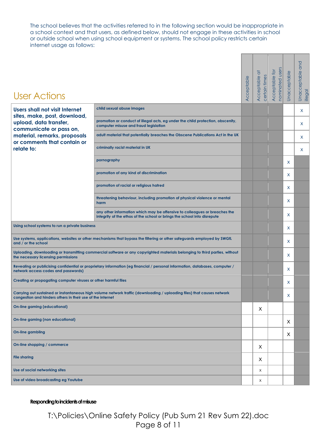The school believes that the activities referred to in the following section would be inappropriate in a school context and that users, as defined below, should not engage in these activities in school or outside school when using school equipment or systems. The school policy restricts certain internet usage as follows:

**Contract Contract** 

 $\sim$   $\sim$   $\sim$   $\sim$   $\sim$   $\sim$ 

۰

| <b>User Actions</b>                                                                                                                                                |                                                                                                                              | Acceptable | Acceptable at<br>certain times | nominated users<br>Acceptable for | Unacceptable | and<br>Unacceptable<br>illegal |
|--------------------------------------------------------------------------------------------------------------------------------------------------------------------|------------------------------------------------------------------------------------------------------------------------------|------------|--------------------------------|-----------------------------------|--------------|--------------------------------|
| Users shall not visit Internet                                                                                                                                     | child sexual abuse images                                                                                                    |            |                                |                                   |              | X                              |
| sites, make, post, download,<br>upload, data transfer,                                                                                                             | promotion or conduct of illegal acts, eg under the child protection, obscenity,<br>computer misuse and fraud legislation     |            |                                |                                   |              | X                              |
| communicate or pass on,<br>material, remarks, proposals                                                                                                            | adult material that potentially breaches the Obscene Publications Act in the UK                                              |            |                                |                                   |              | X                              |
| or comments that contain or<br>relate to:                                                                                                                          | criminally racist material in UK                                                                                             |            |                                |                                   |              | X                              |
|                                                                                                                                                                    | pornography                                                                                                                  |            |                                |                                   | X            |                                |
|                                                                                                                                                                    | promotion of any kind of discrimination                                                                                      |            |                                |                                   | X            |                                |
|                                                                                                                                                                    | promotion of racial or religious hatred                                                                                      |            |                                |                                   | X            |                                |
|                                                                                                                                                                    | threatening behaviour, including promotion of physical violence or mental<br>harm                                            |            |                                |                                   | X            |                                |
|                                                                                                                                                                    |                                                                                                                              |            |                                | $\mathsf{x}$                      |              |                                |
| Using school systems to run a private business                                                                                                                     |                                                                                                                              |            |                                |                                   | X            |                                |
| Use systems, applications, websites or other mechanisms that bypass the filtering or other safeguards employed by SWGfL<br>and / or the school                     |                                                                                                                              |            |                                |                                   | X            |                                |
| Uploading, downloading or transmitting commercial software or any copyrighted materials belonging to third parties, without<br>the necessary licensing permissions |                                                                                                                              |            |                                |                                   | X            |                                |
| network access codes and passwords)                                                                                                                                | Revealing or publicising confidential or proprietary information (eg financial / personal information, databases, computer / |            |                                |                                   | X            |                                |
| Creating or propagating computer viruses or other harmful files                                                                                                    |                                                                                                                              |            |                                |                                   | X            |                                |
| congestion and hinders others in their use of the internet                                                                                                         | Carrying out sustained or instantaneous high volume network traffic (downloading / uploading files) that causes network      |            |                                |                                   | Χ            |                                |
| On-line gaming (educational)                                                                                                                                       |                                                                                                                              |            | X                              |                                   |              |                                |
| On-line gaming (non educational)                                                                                                                                   |                                                                                                                              |            |                                |                                   | X            |                                |
| <b>On-line gambling</b>                                                                                                                                            |                                                                                                                              |            |                                |                                   | X            |                                |
| On-line shopping / commerce                                                                                                                                        |                                                                                                                              |            |                                |                                   |              |                                |
| <b>File sharing</b>                                                                                                                                                |                                                                                                                              |            |                                |                                   |              |                                |
| Use of social networking sites                                                                                                                                     |                                                                                                                              | X          |                                |                                   |              |                                |
| Use of video broadcasting eg Youtube                                                                                                                               |                                                                                                                              |            | X                              |                                   |              |                                |

#### **Responding to incidents of misuse**

T:\Policies\Online Safety Policy (Pub Sum 21 Rev Sum 22).doc Page 8 of 11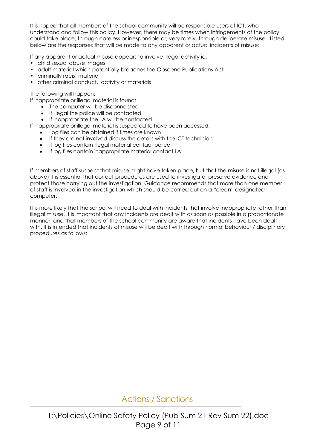It is hoped that all members of the school community will be responsible users of ICT, who understand and follow this policy. However, there may be times when infringements of the policy could take place, through careless or irresponsible or, very rarely, through deliberate misuse. Listed below are the responses that will be made to any apparent or actual incidents of misuse:

If any apparent or actual misuse appears to involve illegal activity ie.

- child sexual abuse images
- adult material which potentially breaches the Obscene Publications Act
- criminally racist material
- other criminal conduct, activity or materials

The following will happen:

If inappropriate or illegal material is found:

- The computer will be disconnected
- If illegal the police will be contacted
- If inappropriate the LA will be contacted

If inappropriate or illegal material is suspected to have been accessed:

- Log files can be obtained if times are known
- If they are not involved discuss the details with the ICT technician
- If log files contain illegal material contact police
- If log files contain inappropriate material contact LA

If members of staff suspect that misuse might have taken place, but that the misuse is not illegal (as above) it is essential that correct procedures are used to investigate, preserve evidence and protect those carrying out the investigation. Guidance recommends that more than one member of staff is involved in the investigation which should be carried out on a "clean" designated computer.

It is more likely that the school will need to deal with incidents that involve inappropriate rather than illegal misuse. It is important that any incidents are dealt with as soon as possible in a proportionate manner, and that members of the school community are aware that incidents have been dealt with. It is intended that incidents of misuse will be dealt with through normal behaviour / disciplinary procedures as follows:

Actions / Sanctions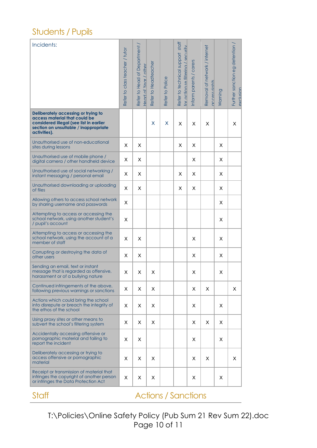### Students / Pupils

| Incidents:                                                                                                                                                               | Refer to class teacher / tutor | Refer to Head of Department<br>Head of Year / other | Refer to Headteacher | Refer to Police | Refer to technical support staff<br>for action re filterina / security | Inform parents / carers | Removal of network / internet<br>access rights | Warning | Further sanction eg detention<br>exclusion |
|--------------------------------------------------------------------------------------------------------------------------------------------------------------------------|--------------------------------|-----------------------------------------------------|----------------------|-----------------|------------------------------------------------------------------------|-------------------------|------------------------------------------------|---------|--------------------------------------------|
| Deliberately accessing or trying to<br>access material that could be<br>considered illegal (see list in earlier<br>section on unsuitable / inappropriate<br>activities). |                                |                                                     | X                    | х               | X                                                                      | X                       | X                                              |         | X                                          |
| Unauthorised use of non-educational<br>sites during lessons                                                                                                              | Χ                              | X                                                   |                      |                 | X.                                                                     | X.                      |                                                | Χ       |                                            |
| Unauthorised use of mobile phone /<br>digital camera / other handheld device                                                                                             | х                              | X                                                   |                      |                 |                                                                        | Χ                       |                                                | Χ       |                                            |
| Unauthorised use of social networking /<br>instant messaging / personal email                                                                                            | Χ                              | X                                                   |                      |                 | Χ                                                                      | X.                      |                                                | Χ       |                                            |
| Unauthorised downloading or uploading<br>of files                                                                                                                        | Χ                              | X                                                   |                      |                 | Χ                                                                      | Χ                       |                                                | X       |                                            |
| Allowing others to access school network<br>by sharing username and passwords                                                                                            | X                              |                                                     |                      |                 |                                                                        |                         |                                                | Χ       |                                            |
| Attempting to access or accessing the<br>school network, using another student's<br>/ pupil's account                                                                    | X                              |                                                     |                      |                 |                                                                        |                         |                                                | X       |                                            |
| Attempting to access or accessing the<br>school network, using the account of a<br>member of staff                                                                       | X                              | X                                                   |                      |                 |                                                                        | X                       |                                                | X       |                                            |
| Corrupting or destroying the data of<br>other users                                                                                                                      | х                              | X                                                   |                      |                 |                                                                        | X                       |                                                | X       |                                            |
| Sending an email, text or instant<br>message that is regarded as offensive,<br>harassment or of a bullying nature                                                        | х                              | X.                                                  | Χ                    |                 |                                                                        | X                       |                                                | Χ       |                                            |
| Continued infringements of the above,<br>following previous warnings or sanctions                                                                                        | X.                             | Χ                                                   | X.                   |                 |                                                                        | X.                      | X                                              |         | Χ                                          |
| Actions which could bring the school<br>into disrepute or breach the integrity of<br>the ethos of the school                                                             | Χ                              | X.                                                  | X                    |                 |                                                                        | X                       |                                                | X       |                                            |
| Using proxy sites or other means to<br>subvert the school's filtering system                                                                                             | Χ                              | X                                                   | X.                   |                 |                                                                        | X                       | X                                              | Χ       |                                            |
| Accidentally accessing offensive or<br>pornographic material and failing to<br>report the incident                                                                       | Х                              | Χ                                                   |                      |                 |                                                                        | X                       |                                                | Χ       |                                            |
| Deliberately accessing or trying to<br>access offensive or pornographic<br>material                                                                                      | Х                              | Χ                                                   | X                    |                 |                                                                        | X                       | X                                              |         | Χ                                          |
| Receipt or transmission of material that<br>infringes the copyright of another person<br>or infringes the Data Protection Act                                            | X                              | Χ                                                   | Χ                    |                 |                                                                        | X                       |                                                | Χ       |                                            |

Staff **Actions / Sanctions** 

T:\Policies\Online Safety Policy (Pub Sum 21 Rev Sum 22).doc Page 10 of 11